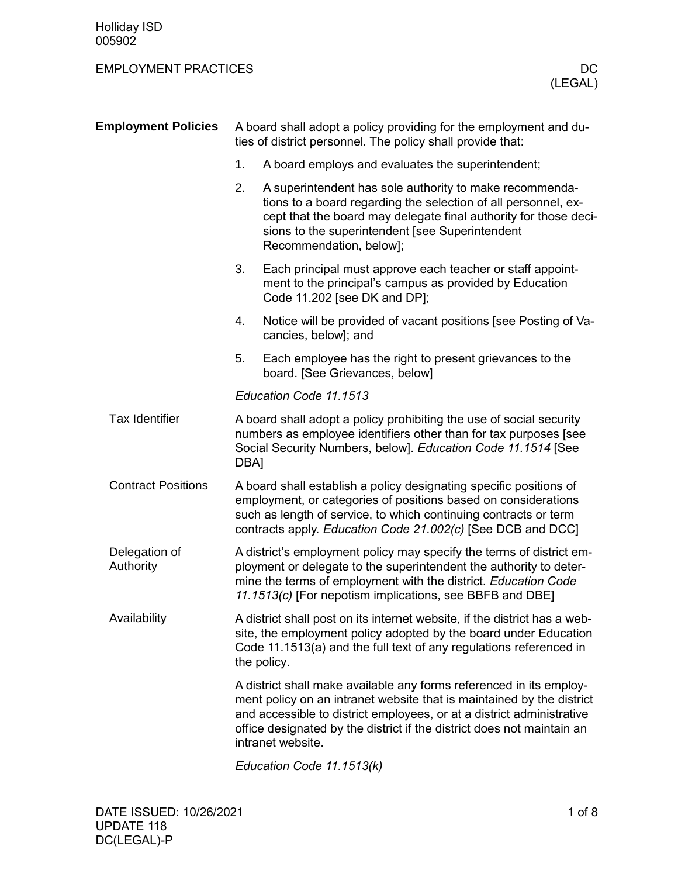| <b>Employment Policies</b> |                                                                                                                                                                                                                                                                          | A board shall adopt a policy providing for the employment and du-<br>ties of district personnel. The policy shall provide that:                                                                                                                                                                                      |  |  |  |  |
|----------------------------|--------------------------------------------------------------------------------------------------------------------------------------------------------------------------------------------------------------------------------------------------------------------------|----------------------------------------------------------------------------------------------------------------------------------------------------------------------------------------------------------------------------------------------------------------------------------------------------------------------|--|--|--|--|
|                            | 1.                                                                                                                                                                                                                                                                       | A board employs and evaluates the superintendent;                                                                                                                                                                                                                                                                    |  |  |  |  |
|                            | 2.                                                                                                                                                                                                                                                                       | A superintendent has sole authority to make recommenda-<br>tions to a board regarding the selection of all personnel, ex-<br>cept that the board may delegate final authority for those deci-<br>sions to the superintendent [see Superintendent<br>Recommendation, below];                                          |  |  |  |  |
|                            | 3.                                                                                                                                                                                                                                                                       | Each principal must approve each teacher or staff appoint-<br>ment to the principal's campus as provided by Education<br>Code 11.202 [see DK and DP];                                                                                                                                                                |  |  |  |  |
|                            | 4.                                                                                                                                                                                                                                                                       | Notice will be provided of vacant positions [see Posting of Va-<br>cancies, below]; and                                                                                                                                                                                                                              |  |  |  |  |
|                            | 5.                                                                                                                                                                                                                                                                       | Each employee has the right to present grievances to the<br>board. [See Grievances, below]                                                                                                                                                                                                                           |  |  |  |  |
|                            |                                                                                                                                                                                                                                                                          | Education Code 11.1513                                                                                                                                                                                                                                                                                               |  |  |  |  |
| <b>Tax Identifier</b>      | A board shall adopt a policy prohibiting the use of social security<br>numbers as employee identifiers other than for tax purposes [see<br>Social Security Numbers, below]. Education Code 11.1514 [See<br>DBA]                                                          |                                                                                                                                                                                                                                                                                                                      |  |  |  |  |
| <b>Contract Positions</b>  | A board shall establish a policy designating specific positions of<br>employment, or categories of positions based on considerations<br>such as length of service, to which continuing contracts or term<br>contracts apply. Education Code 21.002(c) [See DCB and DCC]  |                                                                                                                                                                                                                                                                                                                      |  |  |  |  |
| Delegation of<br>Authority | A district's employment policy may specify the terms of district em-<br>ployment or delegate to the superintendent the authority to deter-<br>mine the terms of employment with the district. Education Code<br>11.1513(c) [For nepotism implications, see BBFB and DBE] |                                                                                                                                                                                                                                                                                                                      |  |  |  |  |
| Availability               |                                                                                                                                                                                                                                                                          | A district shall post on its internet website, if the district has a web-<br>site, the employment policy adopted by the board under Education<br>Code 11.1513(a) and the full text of any regulations referenced in<br>the policy.                                                                                   |  |  |  |  |
|                            |                                                                                                                                                                                                                                                                          | A district shall make available any forms referenced in its employ-<br>ment policy on an intranet website that is maintained by the district<br>and accessible to district employees, or at a district administrative<br>office designated by the district if the district does not maintain an<br>intranet website. |  |  |  |  |
|                            |                                                                                                                                                                                                                                                                          | Education Code 11.1513(k)                                                                                                                                                                                                                                                                                            |  |  |  |  |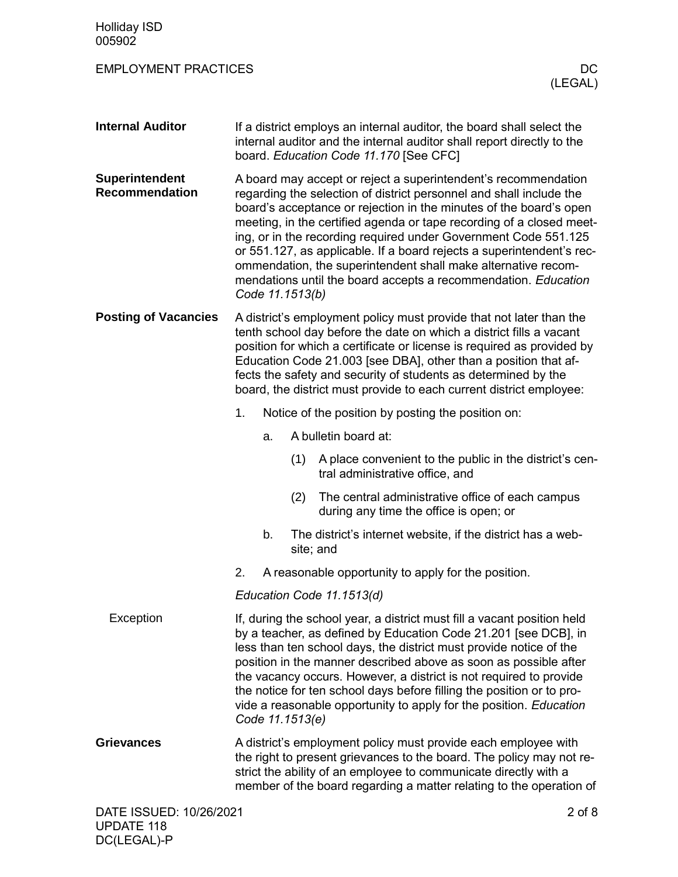| <b>Holliday ISD</b><br>005902           |                                                                                                                                                                                                                                                                                                                                                                                                                                                                                                                              |    |                 |                                                                                                                                                                                                                                                                                                                                                                                                                                                                                                                                                                    |                |
|-----------------------------------------|------------------------------------------------------------------------------------------------------------------------------------------------------------------------------------------------------------------------------------------------------------------------------------------------------------------------------------------------------------------------------------------------------------------------------------------------------------------------------------------------------------------------------|----|-----------------|--------------------------------------------------------------------------------------------------------------------------------------------------------------------------------------------------------------------------------------------------------------------------------------------------------------------------------------------------------------------------------------------------------------------------------------------------------------------------------------------------------------------------------------------------------------------|----------------|
| <b>EMPLOYMENT PRACTICES</b>             |                                                                                                                                                                                                                                                                                                                                                                                                                                                                                                                              |    |                 |                                                                                                                                                                                                                                                                                                                                                                                                                                                                                                                                                                    | DC.<br>(LEGAL) |
| <b>Internal Auditor</b>                 |                                                                                                                                                                                                                                                                                                                                                                                                                                                                                                                              |    |                 | If a district employs an internal auditor, the board shall select the<br>internal auditor and the internal auditor shall report directly to the<br>board. Education Code 11.170 [See CFC]                                                                                                                                                                                                                                                                                                                                                                          |                |
| Superintendent<br><b>Recommendation</b> |                                                                                                                                                                                                                                                                                                                                                                                                                                                                                                                              |    | Code 11.1513(b) | A board may accept or reject a superintendent's recommendation<br>regarding the selection of district personnel and shall include the<br>board's acceptance or rejection in the minutes of the board's open<br>meeting, in the certified agenda or tape recording of a closed meet-<br>ing, or in the recording required under Government Code 551.125<br>or 551.127, as applicable. If a board rejects a superintendent's rec-<br>ommendation, the superintendent shall make alternative recom-<br>mendations until the board accepts a recommendation. Education |                |
| <b>Posting of Vacancies</b>             | A district's employment policy must provide that not later than the<br>tenth school day before the date on which a district fills a vacant<br>position for which a certificate or license is required as provided by<br>Education Code 21.003 [see DBA], other than a position that af-<br>fects the safety and security of students as determined by the<br>board, the district must provide to each current district employee:                                                                                             |    |                 |                                                                                                                                                                                                                                                                                                                                                                                                                                                                                                                                                                    |                |
|                                         | 1.                                                                                                                                                                                                                                                                                                                                                                                                                                                                                                                           |    |                 | Notice of the position by posting the position on:                                                                                                                                                                                                                                                                                                                                                                                                                                                                                                                 |                |
|                                         |                                                                                                                                                                                                                                                                                                                                                                                                                                                                                                                              | a. |                 | A bulletin board at:                                                                                                                                                                                                                                                                                                                                                                                                                                                                                                                                               |                |
|                                         |                                                                                                                                                                                                                                                                                                                                                                                                                                                                                                                              |    | (1)             | A place convenient to the public in the district's cen-<br>tral administrative office, and                                                                                                                                                                                                                                                                                                                                                                                                                                                                         |                |
|                                         |                                                                                                                                                                                                                                                                                                                                                                                                                                                                                                                              |    | (2)             | The central administrative office of each campus<br>during any time the office is open; or                                                                                                                                                                                                                                                                                                                                                                                                                                                                         |                |
|                                         |                                                                                                                                                                                                                                                                                                                                                                                                                                                                                                                              | b. |                 | The district's internet website, if the district has a web-<br>site; and                                                                                                                                                                                                                                                                                                                                                                                                                                                                                           |                |
|                                         | 2.                                                                                                                                                                                                                                                                                                                                                                                                                                                                                                                           |    |                 | A reasonable opportunity to apply for the position.                                                                                                                                                                                                                                                                                                                                                                                                                                                                                                                |                |
|                                         |                                                                                                                                                                                                                                                                                                                                                                                                                                                                                                                              |    |                 | Education Code 11.1513(d)                                                                                                                                                                                                                                                                                                                                                                                                                                                                                                                                          |                |
| Exception                               | If, during the school year, a district must fill a vacant position held<br>by a teacher, as defined by Education Code 21.201 [see DCB], in<br>less than ten school days, the district must provide notice of the<br>position in the manner described above as soon as possible after<br>the vacancy occurs. However, a district is not required to provide<br>the notice for ten school days before filling the position or to pro-<br>vide a reasonable opportunity to apply for the position. Education<br>Code 11.1513(e) |    |                 |                                                                                                                                                                                                                                                                                                                                                                                                                                                                                                                                                                    |                |
| <b>Grievances</b>                       |                                                                                                                                                                                                                                                                                                                                                                                                                                                                                                                              |    |                 | A district's employment policy must provide each employee with<br>the right to present grievances to the board. The policy may not re-<br>strict the ability of an employee to communicate directly with a<br>member of the board regarding a matter relating to the operation of                                                                                                                                                                                                                                                                                  |                |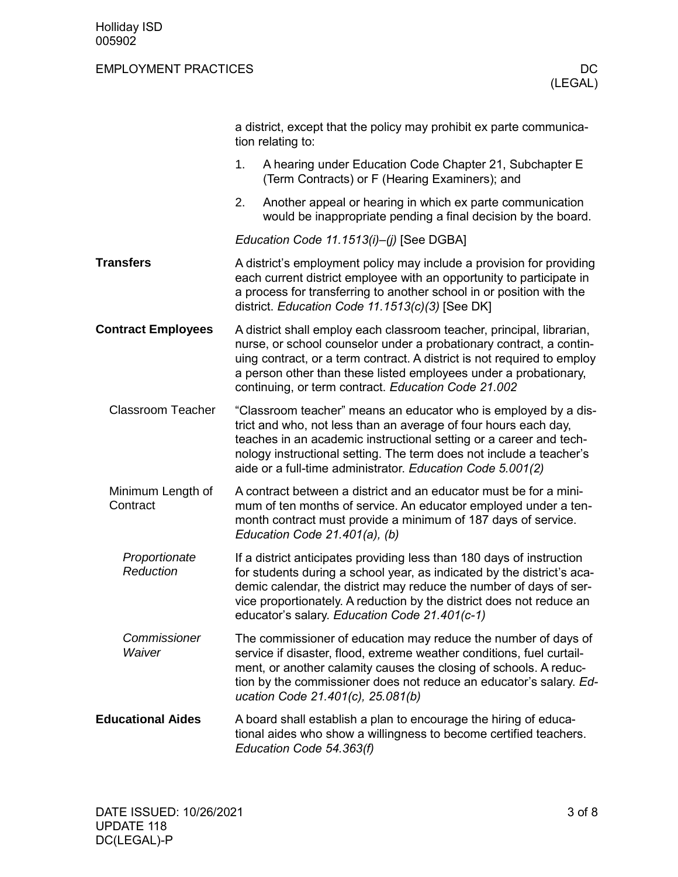|                               |                                                                                                                                                                                                                                                                                                                                                | a district, except that the policy may prohibit ex parte communica-<br>tion relating to:                                                                                                                                                                                                                                                           |  |  |  |
|-------------------------------|------------------------------------------------------------------------------------------------------------------------------------------------------------------------------------------------------------------------------------------------------------------------------------------------------------------------------------------------|----------------------------------------------------------------------------------------------------------------------------------------------------------------------------------------------------------------------------------------------------------------------------------------------------------------------------------------------------|--|--|--|
|                               | 1.                                                                                                                                                                                                                                                                                                                                             | A hearing under Education Code Chapter 21, Subchapter E<br>(Term Contracts) or F (Hearing Examiners); and                                                                                                                                                                                                                                          |  |  |  |
|                               | 2.                                                                                                                                                                                                                                                                                                                                             | Another appeal or hearing in which ex parte communication<br>would be inappropriate pending a final decision by the board.                                                                                                                                                                                                                         |  |  |  |
|                               |                                                                                                                                                                                                                                                                                                                                                | Education Code 11.1513(i)-(j) [See DGBA]                                                                                                                                                                                                                                                                                                           |  |  |  |
| <b>Transfers</b>              |                                                                                                                                                                                                                                                                                                                                                | A district's employment policy may include a provision for providing<br>each current district employee with an opportunity to participate in<br>a process for transferring to another school in or position with the<br>district. Education Code 11.1513(c)(3) [See DK]                                                                            |  |  |  |
| <b>Contract Employees</b>     |                                                                                                                                                                                                                                                                                                                                                | A district shall employ each classroom teacher, principal, librarian,<br>nurse, or school counselor under a probationary contract, a contin-<br>uing contract, or a term contract. A district is not required to employ<br>a person other than these listed employees under a probationary,<br>continuing, or term contract. Education Code 21.002 |  |  |  |
| <b>Classroom Teacher</b>      | "Classroom teacher" means an educator who is employed by a dis-<br>trict and who, not less than an average of four hours each day,<br>teaches in an academic instructional setting or a career and tech-<br>nology instructional setting. The term does not include a teacher's<br>aide or a full-time administrator. Education Code 5.001(2)  |                                                                                                                                                                                                                                                                                                                                                    |  |  |  |
| Minimum Length of<br>Contract |                                                                                                                                                                                                                                                                                                                                                | A contract between a district and an educator must be for a mini-<br>mum of ten months of service. An educator employed under a ten-<br>month contract must provide a minimum of 187 days of service.<br>Education Code 21.401(a), (b)                                                                                                             |  |  |  |
| Proportionate<br>Reduction    | If a district anticipates providing less than 180 days of instruction<br>for students during a school year, as indicated by the district's aca-<br>demic calendar, the district may reduce the number of days of ser-<br>vice proportionately. A reduction by the district does not reduce an<br>educator's salary. Education Code 21.401(c-1) |                                                                                                                                                                                                                                                                                                                                                    |  |  |  |
| Commissioner<br>Waiver        | The commissioner of education may reduce the number of days of<br>service if disaster, flood, extreme weather conditions, fuel curtail-<br>ment, or another calamity causes the closing of schools. A reduc-<br>tion by the commissioner does not reduce an educator's salary. Ed-<br>ucation Code 21.401(c), 25.081(b)                        |                                                                                                                                                                                                                                                                                                                                                    |  |  |  |
| <b>Educational Aides</b>      |                                                                                                                                                                                                                                                                                                                                                | A board shall establish a plan to encourage the hiring of educa-<br>tional aides who show a willingness to become certified teachers.<br>Education Code 54.363(f)                                                                                                                                                                                  |  |  |  |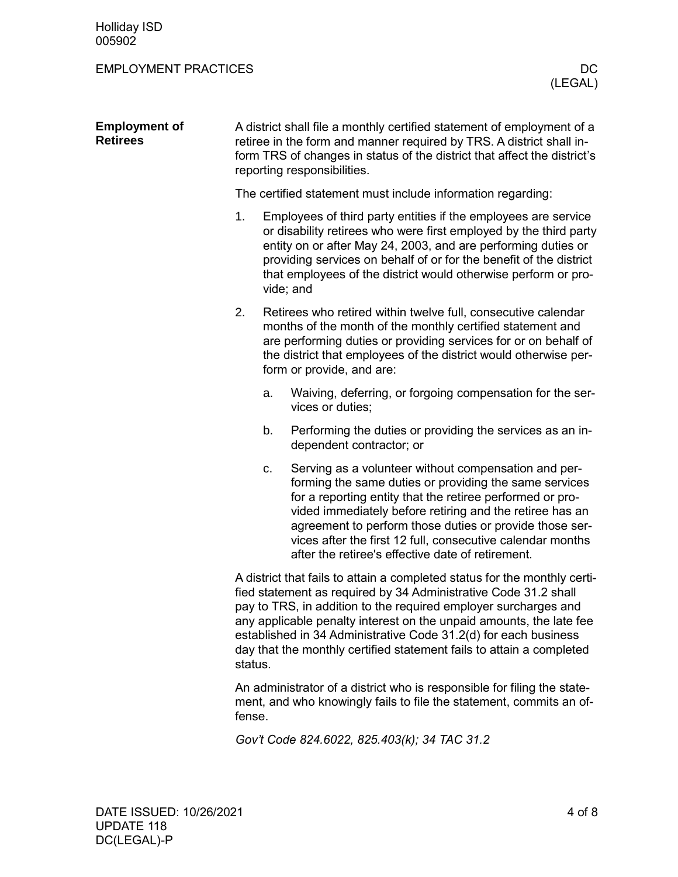| <b>Employment of</b><br><b>Retirees</b> | A district shall file a monthly certified statement of employment of a<br>retiree in the form and manner required by TRS. A district shall in-<br>form TRS of changes in status of the district that affect the district's<br>reporting responsibilities.                                                                                                                                                                                    |    |                                                                                                                                                                                                                                                                                                                                                                                                                       |  |
|-----------------------------------------|----------------------------------------------------------------------------------------------------------------------------------------------------------------------------------------------------------------------------------------------------------------------------------------------------------------------------------------------------------------------------------------------------------------------------------------------|----|-----------------------------------------------------------------------------------------------------------------------------------------------------------------------------------------------------------------------------------------------------------------------------------------------------------------------------------------------------------------------------------------------------------------------|--|
|                                         |                                                                                                                                                                                                                                                                                                                                                                                                                                              |    | The certified statement must include information regarding:                                                                                                                                                                                                                                                                                                                                                           |  |
|                                         | 1.                                                                                                                                                                                                                                                                                                                                                                                                                                           |    | Employees of third party entities if the employees are service<br>or disability retirees who were first employed by the third party<br>entity on or after May 24, 2003, and are performing duties or<br>providing services on behalf of or for the benefit of the district<br>that employees of the district would otherwise perform or pro-<br>vide; and                                                             |  |
|                                         | 2.                                                                                                                                                                                                                                                                                                                                                                                                                                           |    | Retirees who retired within twelve full, consecutive calendar<br>months of the month of the monthly certified statement and<br>are performing duties or providing services for or on behalf of<br>the district that employees of the district would otherwise per-<br>form or provide, and are:                                                                                                                       |  |
|                                         |                                                                                                                                                                                                                                                                                                                                                                                                                                              | a. | Waiving, deferring, or forgoing compensation for the ser-<br>vices or duties;                                                                                                                                                                                                                                                                                                                                         |  |
|                                         |                                                                                                                                                                                                                                                                                                                                                                                                                                              | b. | Performing the duties or providing the services as an in-<br>dependent contractor; or                                                                                                                                                                                                                                                                                                                                 |  |
|                                         |                                                                                                                                                                                                                                                                                                                                                                                                                                              | С. | Serving as a volunteer without compensation and per-<br>forming the same duties or providing the same services<br>for a reporting entity that the retiree performed or pro-<br>vided immediately before retiring and the retiree has an<br>agreement to perform those duties or provide those ser-<br>vices after the first 12 full, consecutive calendar months<br>after the retiree's effective date of retirement. |  |
|                                         | A district that fails to attain a completed status for the monthly certi-<br>fied statement as required by 34 Administrative Code 31.2 shall<br>pay to TRS, in addition to the required employer surcharges and<br>any applicable penalty interest on the unpaid amounts, the late fee<br>established in 34 Administrative Code 31.2(d) for each business<br>day that the monthly certified statement fails to attain a completed<br>status. |    |                                                                                                                                                                                                                                                                                                                                                                                                                       |  |
|                                         | An administrator of a district who is responsible for filing the state-<br>ment, and who knowingly fails to file the statement, commits an of-<br>fense.                                                                                                                                                                                                                                                                                     |    |                                                                                                                                                                                                                                                                                                                                                                                                                       |  |

*Gov't Code 824.6022, 825.403(k); 34 TAC 31.2*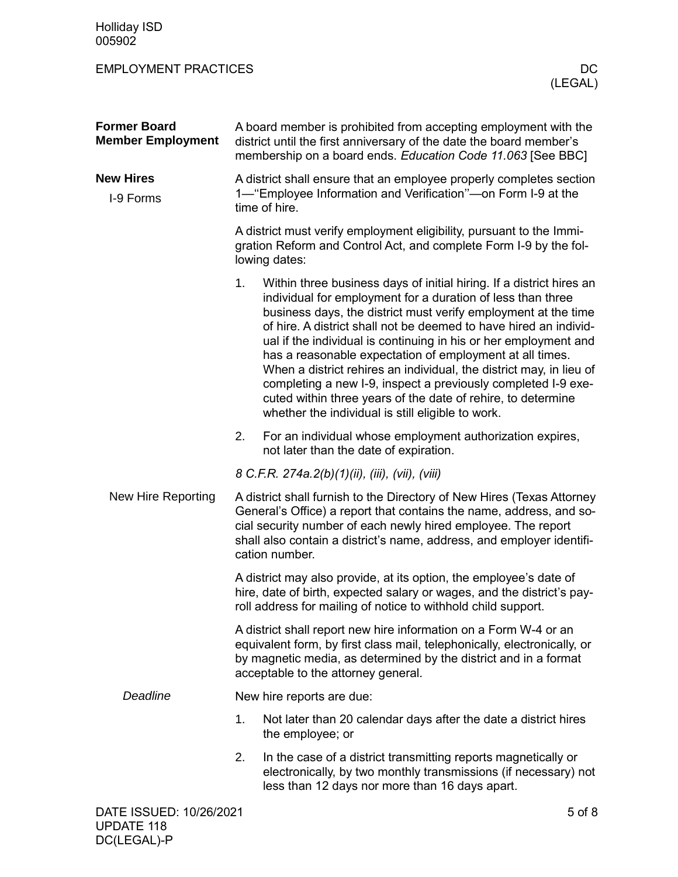| <b>Former Board</b><br><b>Member Employment</b> | A board member is prohibited from accepting employment with the<br>district until the first anniversary of the date the board member's<br>membership on a board ends. Education Code 11.063 [See BBC]                                                                                                     |                                                                                                                                                                                                                                                                                                                                                                                                                                                                                                                                                                                                                                                                         |  |  |  |
|-------------------------------------------------|-----------------------------------------------------------------------------------------------------------------------------------------------------------------------------------------------------------------------------------------------------------------------------------------------------------|-------------------------------------------------------------------------------------------------------------------------------------------------------------------------------------------------------------------------------------------------------------------------------------------------------------------------------------------------------------------------------------------------------------------------------------------------------------------------------------------------------------------------------------------------------------------------------------------------------------------------------------------------------------------------|--|--|--|
| <b>New Hires</b><br>I-9 Forms                   | A district shall ensure that an employee properly completes section<br>1— "Employee Information and Verification"—on Form I-9 at the<br>time of hire.                                                                                                                                                     |                                                                                                                                                                                                                                                                                                                                                                                                                                                                                                                                                                                                                                                                         |  |  |  |
|                                                 |                                                                                                                                                                                                                                                                                                           | A district must verify employment eligibility, pursuant to the Immi-<br>gration Reform and Control Act, and complete Form I-9 by the fol-<br>lowing dates:                                                                                                                                                                                                                                                                                                                                                                                                                                                                                                              |  |  |  |
|                                                 | 1.                                                                                                                                                                                                                                                                                                        | Within three business days of initial hiring. If a district hires an<br>individual for employment for a duration of less than three<br>business days, the district must verify employment at the time<br>of hire. A district shall not be deemed to have hired an individ-<br>ual if the individual is continuing in his or her employment and<br>has a reasonable expectation of employment at all times.<br>When a district rehires an individual, the district may, in lieu of<br>completing a new I-9, inspect a previously completed I-9 exe-<br>cuted within three years of the date of rehire, to determine<br>whether the individual is still eligible to work. |  |  |  |
|                                                 | 2.                                                                                                                                                                                                                                                                                                        | For an individual whose employment authorization expires,<br>not later than the date of expiration.                                                                                                                                                                                                                                                                                                                                                                                                                                                                                                                                                                     |  |  |  |
|                                                 |                                                                                                                                                                                                                                                                                                           | 8 C.F.R. 274a.2(b)(1)(ii), (iii), (vii), (viii)                                                                                                                                                                                                                                                                                                                                                                                                                                                                                                                                                                                                                         |  |  |  |
| New Hire Reporting                              | A district shall furnish to the Directory of New Hires (Texas Attorney<br>General's Office) a report that contains the name, address, and so-<br>cial security number of each newly hired employee. The report<br>shall also contain a district's name, address, and employer identifi-<br>cation number. |                                                                                                                                                                                                                                                                                                                                                                                                                                                                                                                                                                                                                                                                         |  |  |  |
|                                                 | A district may also provide, at its option, the employee's date of<br>hire, date of birth, expected salary or wages, and the district's pay-<br>roll address for mailing of notice to withhold child support.                                                                                             |                                                                                                                                                                                                                                                                                                                                                                                                                                                                                                                                                                                                                                                                         |  |  |  |
|                                                 | A district shall report new hire information on a Form W-4 or an<br>equivalent form, by first class mail, telephonically, electronically, or<br>by magnetic media, as determined by the district and in a format<br>acceptable to the attorney general.                                                   |                                                                                                                                                                                                                                                                                                                                                                                                                                                                                                                                                                                                                                                                         |  |  |  |
| Deadline                                        | New hire reports are due:                                                                                                                                                                                                                                                                                 |                                                                                                                                                                                                                                                                                                                                                                                                                                                                                                                                                                                                                                                                         |  |  |  |
|                                                 | 1.                                                                                                                                                                                                                                                                                                        | Not later than 20 calendar days after the date a district hires<br>the employee; or                                                                                                                                                                                                                                                                                                                                                                                                                                                                                                                                                                                     |  |  |  |
|                                                 | 2.                                                                                                                                                                                                                                                                                                        | In the case of a district transmitting reports magnetically or<br>electronically, by two monthly transmissions (if necessary) not<br>less than 12 days nor more than 16 days apart.                                                                                                                                                                                                                                                                                                                                                                                                                                                                                     |  |  |  |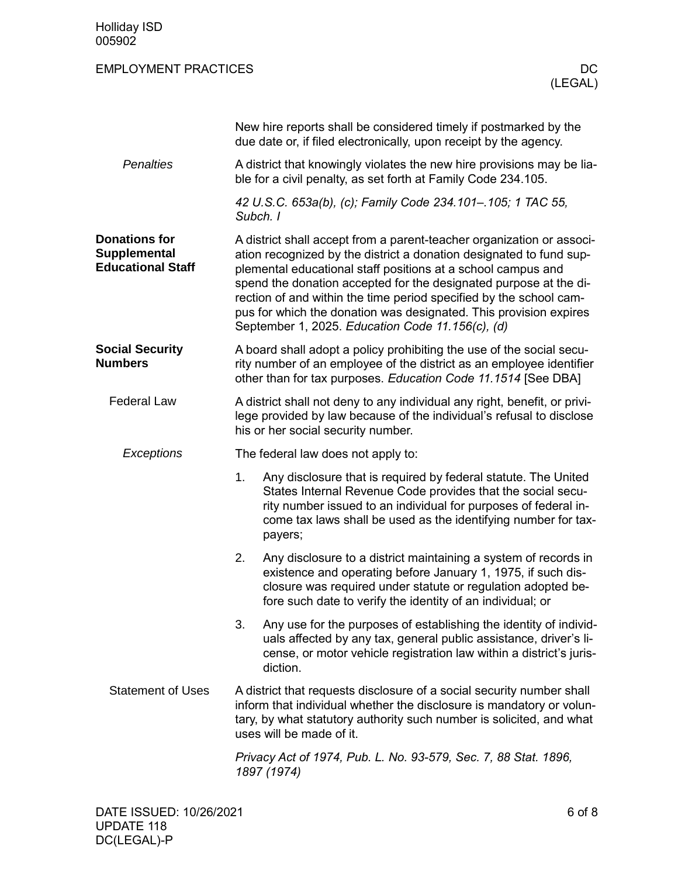| 005902                                                                  |                                                                                                                                                                                                                                                                                                                                                                                                                                                                                  |  |  |  |  |
|-------------------------------------------------------------------------|----------------------------------------------------------------------------------------------------------------------------------------------------------------------------------------------------------------------------------------------------------------------------------------------------------------------------------------------------------------------------------------------------------------------------------------------------------------------------------|--|--|--|--|
| <b>EMPLOYMENT PRACTICES</b>                                             | DC.<br>(LEGAL)                                                                                                                                                                                                                                                                                                                                                                                                                                                                   |  |  |  |  |
|                                                                         | New hire reports shall be considered timely if postmarked by the<br>due date or, if filed electronically, upon receipt by the agency.                                                                                                                                                                                                                                                                                                                                            |  |  |  |  |
| <b>Penalties</b>                                                        | A district that knowingly violates the new hire provisions may be lia-<br>ble for a civil penalty, as set forth at Family Code 234.105.                                                                                                                                                                                                                                                                                                                                          |  |  |  |  |
|                                                                         | 42 U.S.C. 653a(b), (c); Family Code 234.101-.105; 1 TAC 55,<br>Subch. I                                                                                                                                                                                                                                                                                                                                                                                                          |  |  |  |  |
| <b>Donations for</b><br><b>Supplemental</b><br><b>Educational Staff</b> | A district shall accept from a parent-teacher organization or associ-<br>ation recognized by the district a donation designated to fund sup-<br>plemental educational staff positions at a school campus and<br>spend the donation accepted for the designated purpose at the di-<br>rection of and within the time period specified by the school cam-<br>pus for which the donation was designated. This provision expires<br>September 1, 2025. Education Code 11.156(c), (d) |  |  |  |  |
| <b>Social Security</b><br><b>Numbers</b>                                | A board shall adopt a policy prohibiting the use of the social secu-<br>rity number of an employee of the district as an employee identifier<br>other than for tax purposes. Education Code 11.1514 [See DBA]                                                                                                                                                                                                                                                                    |  |  |  |  |
| <b>Federal Law</b>                                                      | A district shall not deny to any individual any right, benefit, or privi-<br>lege provided by law because of the individual's refusal to disclose<br>his or her social security number.                                                                                                                                                                                                                                                                                          |  |  |  |  |
| Exceptions                                                              | The federal law does not apply to:                                                                                                                                                                                                                                                                                                                                                                                                                                               |  |  |  |  |
|                                                                         | Any disclosure that is required by federal statute. The United<br>1.<br>States Internal Revenue Code provides that the social secu-<br>rity number issued to an individual for purposes of federal in-<br>come tax laws shall be used as the identifying number for tax-<br>payers;                                                                                                                                                                                              |  |  |  |  |
|                                                                         | 2.<br>Any disclosure to a district maintaining a system of records in<br>existence and operating before January 1, 1975, if such dis-<br>closure was required under statute or regulation adopted be-<br>fore such date to verify the identity of an individual; or                                                                                                                                                                                                              |  |  |  |  |
|                                                                         | 3.<br>Any use for the purposes of establishing the identity of individ-<br>uals affected by any tax, general public assistance, driver's li-<br>cense, or motor vehicle registration law within a district's juris-<br>diction.                                                                                                                                                                                                                                                  |  |  |  |  |
| <b>Statement of Uses</b>                                                | A district that requests disclosure of a social security number shall<br>inform that individual whether the disclosure is mandatory or volun-<br>tary, by what statutory authority such number is solicited, and what<br>uses will be made of it.                                                                                                                                                                                                                                |  |  |  |  |
|                                                                         | Privacy Act of 1974, Pub. L. No. 93-579, Sec. 7, 88 Stat. 1896,<br>1897 (1974)                                                                                                                                                                                                                                                                                                                                                                                                   |  |  |  |  |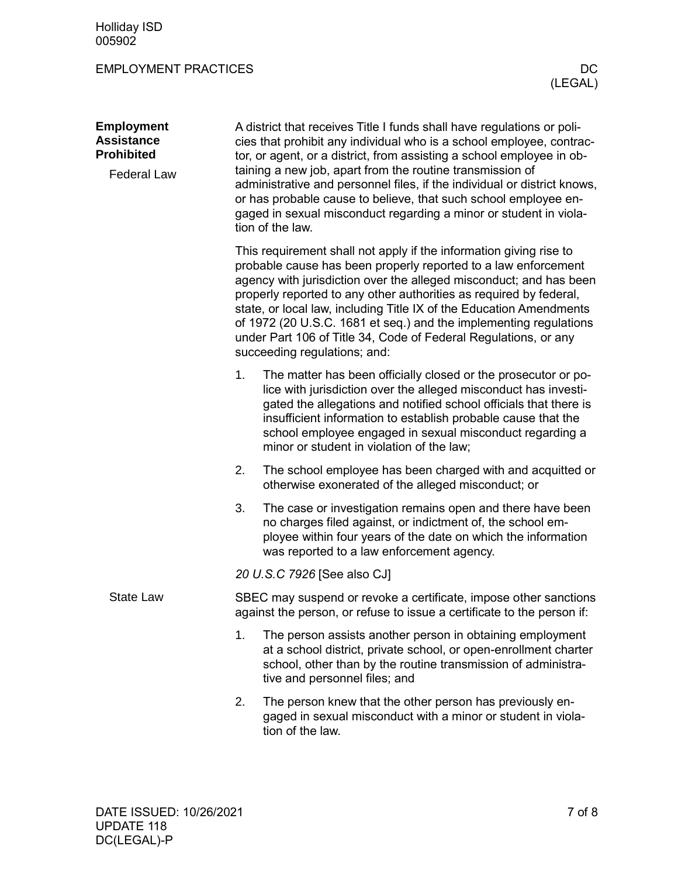| <b>Employment</b><br><b>Assistance</b><br><b>Prohibited</b> |                                                                                                                                                                                                                                                                                                   | A district that receives Title I funds shall have regulations or poli-<br>cies that prohibit any individual who is a school employee, contrac-<br>tor, or agent, or a district, from assisting a school employee in ob-                                                                                                                                                                                                                                                                                                         |  |  |  |
|-------------------------------------------------------------|---------------------------------------------------------------------------------------------------------------------------------------------------------------------------------------------------------------------------------------------------------------------------------------------------|---------------------------------------------------------------------------------------------------------------------------------------------------------------------------------------------------------------------------------------------------------------------------------------------------------------------------------------------------------------------------------------------------------------------------------------------------------------------------------------------------------------------------------|--|--|--|
| <b>Federal Law</b>                                          | taining a new job, apart from the routine transmission of<br>administrative and personnel files, if the individual or district knows,<br>or has probable cause to believe, that such school employee en-<br>gaged in sexual misconduct regarding a minor or student in viola-<br>tion of the law. |                                                                                                                                                                                                                                                                                                                                                                                                                                                                                                                                 |  |  |  |
|                                                             |                                                                                                                                                                                                                                                                                                   | This requirement shall not apply if the information giving rise to<br>probable cause has been properly reported to a law enforcement<br>agency with jurisdiction over the alleged misconduct; and has been<br>properly reported to any other authorities as required by federal,<br>state, or local law, including Title IX of the Education Amendments<br>of 1972 (20 U.S.C. 1681 et seq.) and the implementing regulations<br>under Part 106 of Title 34, Code of Federal Regulations, or any<br>succeeding regulations; and: |  |  |  |
|                                                             | 1.                                                                                                                                                                                                                                                                                                | The matter has been officially closed or the prosecutor or po-<br>lice with jurisdiction over the alleged misconduct has investi-<br>gated the allegations and notified school officials that there is<br>insufficient information to establish probable cause that the<br>school employee engaged in sexual misconduct regarding a<br>minor or student in violation of the law;                                                                                                                                                |  |  |  |
|                                                             | 2.                                                                                                                                                                                                                                                                                                | The school employee has been charged with and acquitted or<br>otherwise exonerated of the alleged misconduct; or                                                                                                                                                                                                                                                                                                                                                                                                                |  |  |  |
|                                                             | 3.                                                                                                                                                                                                                                                                                                | The case or investigation remains open and there have been<br>no charges filed against, or indictment of, the school em-<br>ployee within four years of the date on which the information<br>was reported to a law enforcement agency.                                                                                                                                                                                                                                                                                          |  |  |  |
|                                                             | 20 U.S.C 7926 [See also CJ]                                                                                                                                                                                                                                                                       |                                                                                                                                                                                                                                                                                                                                                                                                                                                                                                                                 |  |  |  |
| <b>State Law</b>                                            | SBEC may suspend or revoke a certificate, impose other sanctions<br>against the person, or refuse to issue a certificate to the person if:                                                                                                                                                        |                                                                                                                                                                                                                                                                                                                                                                                                                                                                                                                                 |  |  |  |
|                                                             | 1.                                                                                                                                                                                                                                                                                                | The person assists another person in obtaining employment<br>at a school district, private school, or open-enrollment charter<br>school, other than by the routine transmission of administra-<br>tive and personnel files; and                                                                                                                                                                                                                                                                                                 |  |  |  |
|                                                             | 2.                                                                                                                                                                                                                                                                                                | The person knew that the other person has previously en-<br>gaged in sexual misconduct with a minor or student in viola-<br>tion of the law.                                                                                                                                                                                                                                                                                                                                                                                    |  |  |  |